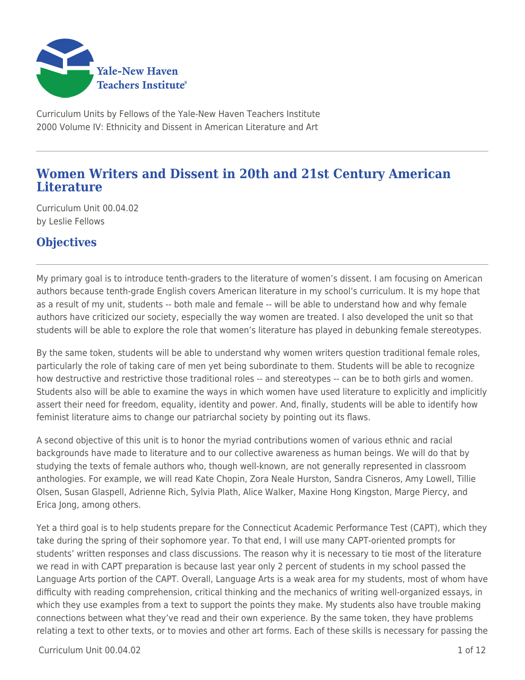

Curriculum Units by Fellows of the Yale-New Haven Teachers Institute 2000 Volume IV: Ethnicity and Dissent in American Literature and Art

# **Women Writers and Dissent in 20th and 21st Century American Literature**

Curriculum Unit 00.04.02 by Leslie Fellows

# **Objectives**

My primary goal is to introduce tenth-graders to the literature of women's dissent. I am focusing on American authors because tenth-grade English covers American literature in my school's curriculum. It is my hope that as a result of my unit, students -- both male and female -- will be able to understand how and why female authors have criticized our society, especially the way women are treated. I also developed the unit so that students will be able to explore the role that women's literature has played in debunking female stereotypes.

By the same token, students will be able to understand why women writers question traditional female roles, particularly the role of taking care of men yet being subordinate to them. Students will be able to recognize how destructive and restrictive those traditional roles -- and stereotypes -- can be to both girls and women. Students also will be able to examine the ways in which women have used literature to explicitly and implicitly assert their need for freedom, equality, identity and power. And, finally, students will be able to identify how feminist literature aims to change our patriarchal society by pointing out its flaws.

A second objective of this unit is to honor the myriad contributions women of various ethnic and racial backgrounds have made to literature and to our collective awareness as human beings. We will do that by studying the texts of female authors who, though well-known, are not generally represented in classroom anthologies. For example, we will read Kate Chopin, Zora Neale Hurston, Sandra Cisneros, Amy Lowell, Tillie Olsen, Susan Glaspell, Adrienne Rich, Sylvia Plath, Alice Walker, Maxine Hong Kingston, Marge Piercy, and Erica Jong, among others.

Yet a third goal is to help students prepare for the Connecticut Academic Performance Test (CAPT), which they take during the spring of their sophomore year. To that end, I will use many CAPT-oriented prompts for students' written responses and class discussions. The reason why it is necessary to tie most of the literature we read in with CAPT preparation is because last year only 2 percent of students in my school passed the Language Arts portion of the CAPT. Overall, Language Arts is a weak area for my students, most of whom have difficulty with reading comprehension, critical thinking and the mechanics of writing well-organized essays, in which they use examples from a text to support the points they make. My students also have trouble making connections between what they've read and their own experience. By the same token, they have problems relating a text to other texts, or to movies and other art forms. Each of these skills is necessary for passing the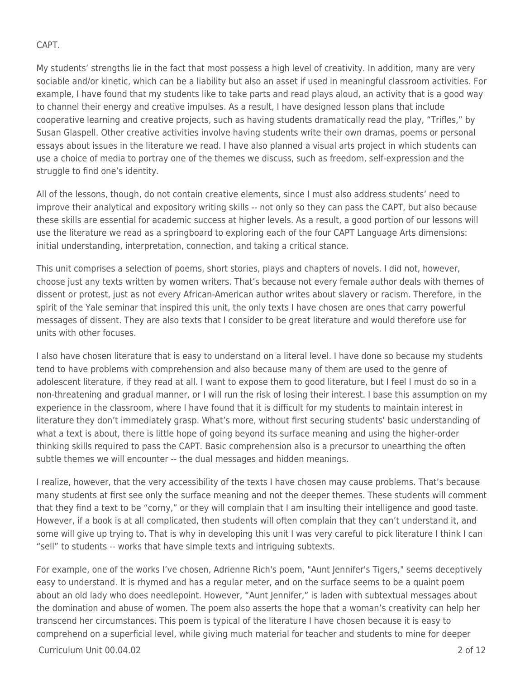### CAPT.

My students' strengths lie in the fact that most possess a high level of creativity. In addition, many are very sociable and/or kinetic, which can be a liability but also an asset if used in meaningful classroom activities. For example, I have found that my students like to take parts and read plays aloud, an activity that is a good way to channel their energy and creative impulses. As a result, I have designed lesson plans that include cooperative learning and creative projects, such as having students dramatically read the play, "Trifles," by Susan Glaspell. Other creative activities involve having students write their own dramas, poems or personal essays about issues in the literature we read. I have also planned a visual arts project in which students can use a choice of media to portray one of the themes we discuss, such as freedom, self-expression and the struggle to find one's identity.

All of the lessons, though, do not contain creative elements, since I must also address students' need to improve their analytical and expository writing skills -- not only so they can pass the CAPT, but also because these skills are essential for academic success at higher levels. As a result, a good portion of our lessons will use the literature we read as a springboard to exploring each of the four CAPT Language Arts dimensions: initial understanding, interpretation, connection, and taking a critical stance.

This unit comprises a selection of poems, short stories, plays and chapters of novels. I did not, however, choose just any texts written by women writers. That's because not every female author deals with themes of dissent or protest, just as not every African-American author writes about slavery or racism. Therefore, in the spirit of the Yale seminar that inspired this unit, the only texts I have chosen are ones that carry powerful messages of dissent. They are also texts that I consider to be great literature and would therefore use for units with other focuses.

I also have chosen literature that is easy to understand on a literal level. I have done so because my students tend to have problems with comprehension and also because many of them are used to the genre of adolescent literature, if they read at all. I want to expose them to good literature, but I feel I must do so in a non-threatening and gradual manner, or I will run the risk of losing their interest. I base this assumption on my experience in the classroom, where I have found that it is difficult for my students to maintain interest in literature they don't immediately grasp. What's more, without first securing students' basic understanding of what a text is about, there is little hope of going beyond its surface meaning and using the higher-order thinking skills required to pass the CAPT. Basic comprehension also is a precursor to unearthing the often subtle themes we will encounter -- the dual messages and hidden meanings.

I realize, however, that the very accessibility of the texts I have chosen may cause problems. That's because many students at first see only the surface meaning and not the deeper themes. These students will comment that they find a text to be "corny," or they will complain that I am insulting their intelligence and good taste. However, if a book is at all complicated, then students will often complain that they can't understand it, and some will give up trying to. That is why in developing this unit I was very careful to pick literature I think I can "sell" to students -- works that have simple texts and intriguing subtexts.

For example, one of the works I've chosen, Adrienne Rich's poem, "Aunt Jennifer's Tigers," seems deceptively easy to understand. It is rhymed and has a regular meter, and on the surface seems to be a quaint poem about an old lady who does needlepoint. However, "Aunt Jennifer," is laden with subtextual messages about the domination and abuse of women. The poem also asserts the hope that a woman's creativity can help her transcend her circumstances. This poem is typical of the literature I have chosen because it is easy to comprehend on a superficial level, while giving much material for teacher and students to mine for deeper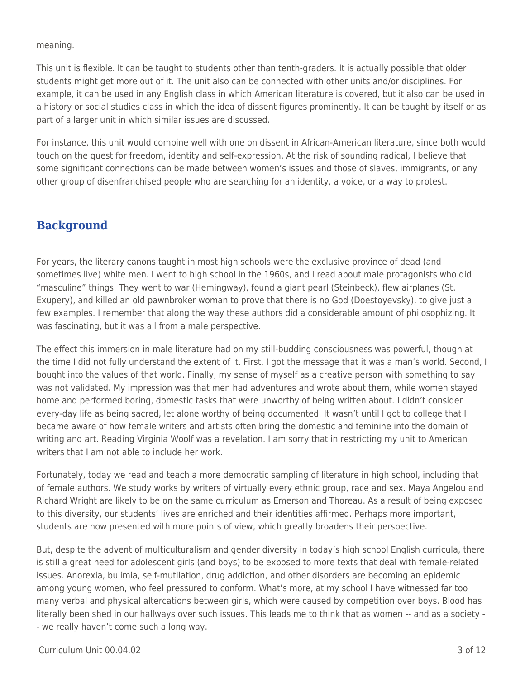meaning.

This unit is flexible. It can be taught to students other than tenth-graders. It is actually possible that older students might get more out of it. The unit also can be connected with other units and/or disciplines. For example, it can be used in any English class in which American literature is covered, but it also can be used in a history or social studies class in which the idea of dissent figures prominently. It can be taught by itself or as part of a larger unit in which similar issues are discussed.

For instance, this unit would combine well with one on dissent in African-American literature, since both would touch on the quest for freedom, identity and self-expression. At the risk of sounding radical, I believe that some significant connections can be made between women's issues and those of slaves, immigrants, or any other group of disenfranchised people who are searching for an identity, a voice, or a way to protest.

## **Background**

For years, the literary canons taught in most high schools were the exclusive province of dead (and sometimes live) white men. I went to high school in the 1960s, and I read about male protagonists who did "masculine" things. They went to war (Hemingway), found a giant pearl (Steinbeck), flew airplanes (St. Exupery), and killed an old pawnbroker woman to prove that there is no God (Doestoyevsky), to give just a few examples. I remember that along the way these authors did a considerable amount of philosophizing. It was fascinating, but it was all from a male perspective.

The effect this immersion in male literature had on my still-budding consciousness was powerful, though at the time I did not fully understand the extent of it. First, I got the message that it was a man's world. Second, I bought into the values of that world. Finally, my sense of myself as a creative person with something to say was not validated. My impression was that men had adventures and wrote about them, while women stayed home and performed boring, domestic tasks that were unworthy of being written about. I didn't consider every-day life as being sacred, let alone worthy of being documented. It wasn't until I got to college that I became aware of how female writers and artists often bring the domestic and feminine into the domain of writing and art. Reading Virginia Woolf was a revelation. I am sorry that in restricting my unit to American writers that I am not able to include her work

Fortunately, today we read and teach a more democratic sampling of literature in high school, including that of female authors. We study works by writers of virtually every ethnic group, race and sex. Maya Angelou and Richard Wright are likely to be on the same curriculum as Emerson and Thoreau. As a result of being exposed to this diversity, our students' lives are enriched and their identities affirmed. Perhaps more important, students are now presented with more points of view, which greatly broadens their perspective.

But, despite the advent of multiculturalism and gender diversity in today's high school English curricula, there is still a great need for adolescent girls (and boys) to be exposed to more texts that deal with female-related issues. Anorexia, bulimia, self-mutilation, drug addiction, and other disorders are becoming an epidemic among young women, who feel pressured to conform. What's more, at my school I have witnessed far too many verbal and physical altercations between girls, which were caused by competition over boys. Blood has literally been shed in our hallways over such issues. This leads me to think that as women -- and as a society - - we really haven't come such a long way.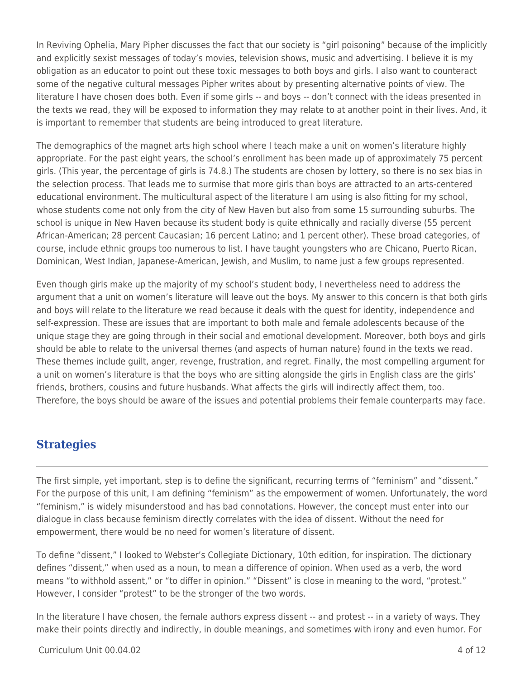In Reviving Ophelia, Mary Pipher discusses the fact that our society is "girl poisoning" because of the implicitly and explicitly sexist messages of today's movies, television shows, music and advertising. I believe it is my obligation as an educator to point out these toxic messages to both boys and girls. I also want to counteract some of the negative cultural messages Pipher writes about by presenting alternative points of view. The literature I have chosen does both. Even if some girls -- and boys -- don't connect with the ideas presented in the texts we read, they will be exposed to information they may relate to at another point in their lives. And, it is important to remember that students are being introduced to great literature.

The demographics of the magnet arts high school where I teach make a unit on women's literature highly appropriate. For the past eight years, the school's enrollment has been made up of approximately 75 percent girls. (This year, the percentage of girls is 74.8.) The students are chosen by lottery, so there is no sex bias in the selection process. That leads me to surmise that more girls than boys are attracted to an arts-centered educational environment. The multicultural aspect of the literature I am using is also fitting for my school, whose students come not only from the city of New Haven but also from some 15 surrounding suburbs. The school is unique in New Haven because its student body is quite ethnically and racially diverse (55 percent African-American; 28 percent Caucasian; 16 percent Latino; and 1 percent other). These broad categories, of course, include ethnic groups too numerous to list. I have taught youngsters who are Chicano, Puerto Rican, Dominican, West Indian, Japanese-American, Jewish, and Muslim, to name just a few groups represented.

Even though girls make up the majority of my school's student body, I nevertheless need to address the argument that a unit on women's literature will leave out the boys. My answer to this concern is that both girls and boys will relate to the literature we read because it deals with the quest for identity, independence and self-expression. These are issues that are important to both male and female adolescents because of the unique stage they are going through in their social and emotional development. Moreover, both boys and girls should be able to relate to the universal themes (and aspects of human nature) found in the texts we read. These themes include guilt, anger, revenge, frustration, and regret. Finally, the most compelling argument for a unit on women's literature is that the boys who are sitting alongside the girls in English class are the girls' friends, brothers, cousins and future husbands. What affects the girls will indirectly affect them, too. Therefore, the boys should be aware of the issues and potential problems their female counterparts may face.

## **Strategies**

The first simple, yet important, step is to define the significant, recurring terms of "feminism" and "dissent." For the purpose of this unit, I am defining "feminism" as the empowerment of women. Unfortunately, the word "feminism," is widely misunderstood and has bad connotations. However, the concept must enter into our dialogue in class because feminism directly correlates with the idea of dissent. Without the need for empowerment, there would be no need for women's literature of dissent.

To define "dissent," I looked to Webster's Collegiate Dictionary, 10th edition, for inspiration. The dictionary defines "dissent," when used as a noun, to mean a difference of opinion. When used as a verb, the word means "to withhold assent," or "to differ in opinion." "Dissent" is close in meaning to the word, "protest." However, I consider "protest" to be the stronger of the two words.

In the literature I have chosen, the female authors express dissent -- and protest -- in a variety of ways. They make their points directly and indirectly, in double meanings, and sometimes with irony and even humor. For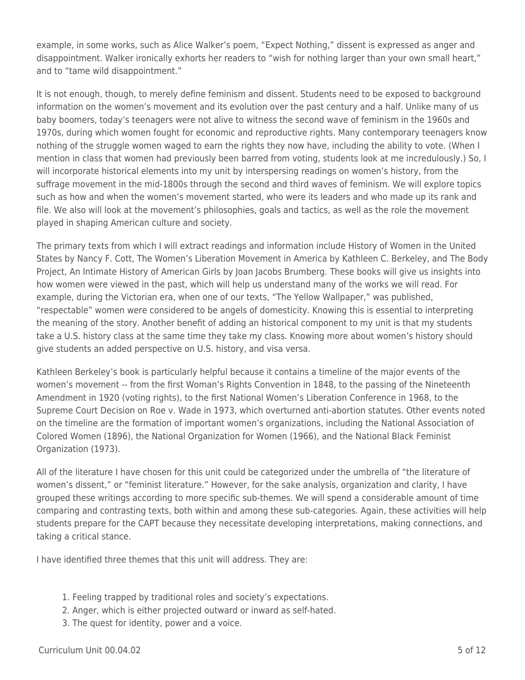example, in some works, such as Alice Walker's poem, "Expect Nothing," dissent is expressed as anger and disappointment. Walker ironically exhorts her readers to "wish for nothing larger than your own small heart," and to "tame wild disappointment."

It is not enough, though, to merely define feminism and dissent. Students need to be exposed to background information on the women's movement and its evolution over the past century and a half. Unlike many of us baby boomers, today's teenagers were not alive to witness the second wave of feminism in the 1960s and 1970s, during which women fought for economic and reproductive rights. Many contemporary teenagers know nothing of the struggle women waged to earn the rights they now have, including the ability to vote. (When I mention in class that women had previously been barred from voting, students look at me incredulously.) So, I will incorporate historical elements into my unit by interspersing readings on women's history, from the suffrage movement in the mid-1800s through the second and third waves of feminism. We will explore topics such as how and when the women's movement started, who were its leaders and who made up its rank and file. We also will look at the movement's philosophies, goals and tactics, as well as the role the movement played in shaping American culture and society.

The primary texts from which I will extract readings and information include History of Women in the United States by Nancy F. Cott, The Women's Liberation Movement in America by Kathleen C. Berkeley, and The Body Project, An Intimate History of American Girls by Joan Jacobs Brumberg. These books will give us insights into how women were viewed in the past, which will help us understand many of the works we will read. For example, during the Victorian era, when one of our texts, "The Yellow Wallpaper," was published, "respectable" women were considered to be angels of domesticity. Knowing this is essential to interpreting the meaning of the story. Another benefit of adding an historical component to my unit is that my students take a U.S. history class at the same time they take my class. Knowing more about women's history should give students an added perspective on U.S. history, and visa versa.

Kathleen Berkeley's book is particularly helpful because it contains a timeline of the major events of the women's movement -- from the first Woman's Rights Convention in 1848, to the passing of the Nineteenth Amendment in 1920 (voting rights), to the first National Women's Liberation Conference in 1968, to the Supreme Court Decision on Roe v. Wade in 1973, which overturned anti-abortion statutes. Other events noted on the timeline are the formation of important women's organizations, including the National Association of Colored Women (1896), the National Organization for Women (1966), and the National Black Feminist Organization (1973).

All of the literature I have chosen for this unit could be categorized under the umbrella of "the literature of women's dissent," or "feminist literature." However, for the sake analysis, organization and clarity, I have grouped these writings according to more specific sub-themes. We will spend a considerable amount of time comparing and contrasting texts, both within and among these sub-categories. Again, these activities will help students prepare for the CAPT because they necessitate developing interpretations, making connections, and taking a critical stance.

I have identified three themes that this unit will address. They are:

- 1. Feeling trapped by traditional roles and society's expectations.
- 2. Anger, which is either projected outward or inward as self-hated.
- 3. The quest for identity, power and a voice.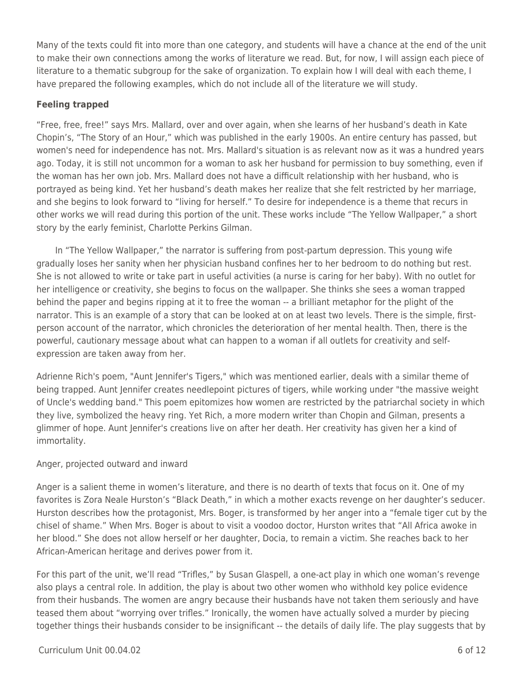Many of the texts could fit into more than one category, and students will have a chance at the end of the unit to make their own connections among the works of literature we read. But, for now, I will assign each piece of literature to a thematic subgroup for the sake of organization. To explain how I will deal with each theme, I have prepared the following examples, which do not include all of the literature we will study.

### **Feeling trapped**

"Free, free, free!" says Mrs. Mallard, over and over again, when she learns of her husband's death in Kate Chopin's, "The Story of an Hour," which was published in the early 1900s. An entire century has passed, but women's need for independence has not. Mrs. Mallard's situation is as relevant now as it was a hundred years ago. Today, it is still not uncommon for a woman to ask her husband for permission to buy something, even if the woman has her own job. Mrs. Mallard does not have a difficult relationship with her husband, who is portrayed as being kind. Yet her husband's death makes her realize that she felt restricted by her marriage, and she begins to look forward to "living for herself." To desire for independence is a theme that recurs in other works we will read during this portion of the unit. These works include "The Yellow Wallpaper," a short story by the early feminist, Charlotte Perkins Gilman.

In "The Yellow Wallpaper," the narrator is suffering from post-partum depression. This young wife gradually loses her sanity when her physician husband confines her to her bedroom to do nothing but rest. She is not allowed to write or take part in useful activities (a nurse is caring for her baby). With no outlet for her intelligence or creativity, she begins to focus on the wallpaper. She thinks she sees a woman trapped behind the paper and begins ripping at it to free the woman -- a brilliant metaphor for the plight of the narrator. This is an example of a story that can be looked at on at least two levels. There is the simple, firstperson account of the narrator, which chronicles the deterioration of her mental health. Then, there is the powerful, cautionary message about what can happen to a woman if all outlets for creativity and selfexpression are taken away from her.

Adrienne Rich's poem, "Aunt Jennifer's Tigers," which was mentioned earlier, deals with a similar theme of being trapped. Aunt Jennifer creates needlepoint pictures of tigers, while working under "the massive weight of Uncle's wedding band." This poem epitomizes how women are restricted by the patriarchal society in which they live, symbolized the heavy ring. Yet Rich, a more modern writer than Chopin and Gilman, presents a glimmer of hope. Aunt Jennifer's creations live on after her death. Her creativity has given her a kind of immortality.

### Anger, projected outward and inward

Anger is a salient theme in women's literature, and there is no dearth of texts that focus on it. One of my favorites is Zora Neale Hurston's "Black Death," in which a mother exacts revenge on her daughter's seducer. Hurston describes how the protagonist, Mrs. Boger, is transformed by her anger into a "female tiger cut by the chisel of shame." When Mrs. Boger is about to visit a voodoo doctor, Hurston writes that "All Africa awoke in her blood." She does not allow herself or her daughter, Docia, to remain a victim. She reaches back to her African-American heritage and derives power from it.

For this part of the unit, we'll read "Trifles," by Susan Glaspell, a one-act play in which one woman's revenge also plays a central role. In addition, the play is about two other women who withhold key police evidence from their husbands. The women are angry because their husbands have not taken them seriously and have teased them about "worrying over trifles." Ironically, the women have actually solved a murder by piecing together things their husbands consider to be insignificant -- the details of daily life. The play suggests that by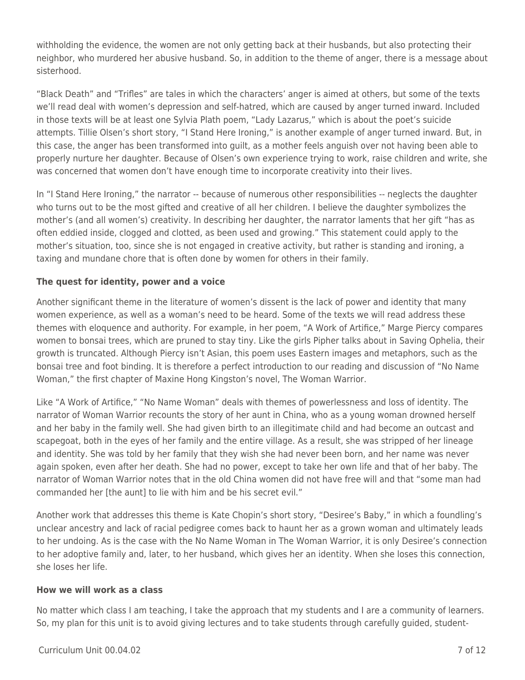withholding the evidence, the women are not only getting back at their husbands, but also protecting their neighbor, who murdered her abusive husband. So, in addition to the theme of anger, there is a message about sisterhood.

"Black Death" and "Trifles" are tales in which the characters' anger is aimed at others, but some of the texts we'll read deal with women's depression and self-hatred, which are caused by anger turned inward. Included in those texts will be at least one Sylvia Plath poem, "Lady Lazarus," which is about the poet's suicide attempts. Tillie Olsen's short story, "I Stand Here Ironing," is another example of anger turned inward. But, in this case, the anger has been transformed into guilt, as a mother feels anguish over not having been able to properly nurture her daughter. Because of Olsen's own experience trying to work, raise children and write, she was concerned that women don't have enough time to incorporate creativity into their lives.

In "I Stand Here Ironing," the narrator -- because of numerous other responsibilities -- neglects the daughter who turns out to be the most gifted and creative of all her children. I believe the daughter symbolizes the mother's (and all women's) creativity. In describing her daughter, the narrator laments that her gift "has as often eddied inside, clogged and clotted, as been used and growing." This statement could apply to the mother's situation, too, since she is not engaged in creative activity, but rather is standing and ironing, a taxing and mundane chore that is often done by women for others in their family.

## **The quest for identity, power and a voice**

Another significant theme in the literature of women's dissent is the lack of power and identity that many women experience, as well as a woman's need to be heard. Some of the texts we will read address these themes with eloquence and authority. For example, in her poem, "A Work of Artifice," Marge Piercy compares women to bonsai trees, which are pruned to stay tiny. Like the girls Pipher talks about in Saving Ophelia, their growth is truncated. Although Piercy isn't Asian, this poem uses Eastern images and metaphors, such as the bonsai tree and foot binding. It is therefore a perfect introduction to our reading and discussion of "No Name Woman," the first chapter of Maxine Hong Kingston's novel, The Woman Warrior.

Like "A Work of Artifice," "No Name Woman" deals with themes of powerlessness and loss of identity. The narrator of Woman Warrior recounts the story of her aunt in China, who as a young woman drowned herself and her baby in the family well. She had given birth to an illegitimate child and had become an outcast and scapegoat, both in the eyes of her family and the entire village. As a result, she was stripped of her lineage and identity. She was told by her family that they wish she had never been born, and her name was never again spoken, even after her death. She had no power, except to take her own life and that of her baby. The narrator of Woman Warrior notes that in the old China women did not have free will and that "some man had commanded her [the aunt] to lie with him and be his secret evil."

Another work that addresses this theme is Kate Chopin's short story, "Desiree's Baby," in which a foundling's unclear ancestry and lack of racial pedigree comes back to haunt her as a grown woman and ultimately leads to her undoing. As is the case with the No Name Woman in The Woman Warrior, it is only Desiree's connection to her adoptive family and, later, to her husband, which gives her an identity. When she loses this connection, she loses her life.

### **How we will work as a class**

No matter which class I am teaching, I take the approach that my students and I are a community of learners. So, my plan for this unit is to avoid giving lectures and to take students through carefully guided, student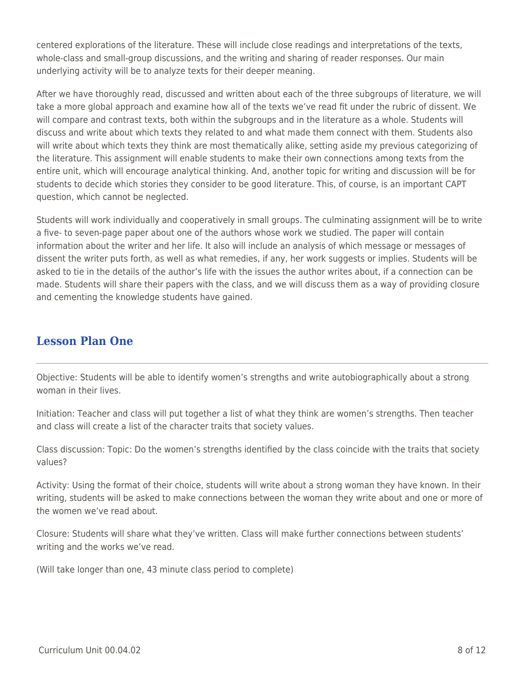centered explorations of the literature. These will include close readings and interpretations of the texts, whole-class and small-group discussions, and the writing and sharing of reader responses. Our main underlying activity will be to analyze texts for their deeper meaning.

After we have thoroughly read, discussed and written about each of the three subgroups of literature, we will take a more global approach and examine how all of the texts we've read fit under the rubric of dissent. We will compare and contrast texts, both within the subgroups and in the literature as a whole. Students will discuss and write about which texts they related to and what made them connect with them. Students also will write about which texts they think are most thematically alike, setting aside my previous categorizing of the literature. This assignment will enable students to make their own connections among texts from the entire unit, which will encourage analytical thinking. And, another topic for writing and discussion will be for students to decide which stories they consider to be good literature. This, of course, is an important CAPT question, which cannot be neglected.

Students will work individually and cooperatively in small groups. The culminating assignment will be to write a five- to seven-page paper about one of the authors whose work we studied. The paper will contain information about the writer and her life. It also will include an analysis of which message or messages of dissent the writer puts forth, as well as what remedies, if any, her work suggests or implies. Students will be asked to tie in the details of the author's life with the issues the author writes about, if a connection can be made. Students will share their papers with the class, and we will discuss them as a way of providing closure and cementing the knowledge students have gained.

# **Lesson Plan One**

Objective: Students will be able to identify women's strengths and write autobiographically about a strong woman in their lives.

Initiation: Teacher and class will put together a list of what they think are women's strengths. Then teacher and class will create a list of the character traits that society values.

Class discussion: Topic: Do the women's strengths identified by the class coincide with the traits that society values?

Activity: Using the format of their choice, students will write about a strong woman they have known. In their writing, students will be asked to make connections between the woman they write about and one or more of the women we've read about.

Closure: Students will share what they've written. Class will make further connections between students' writing and the works we've read.

(Will take longer than one, 43 minute class period to complete)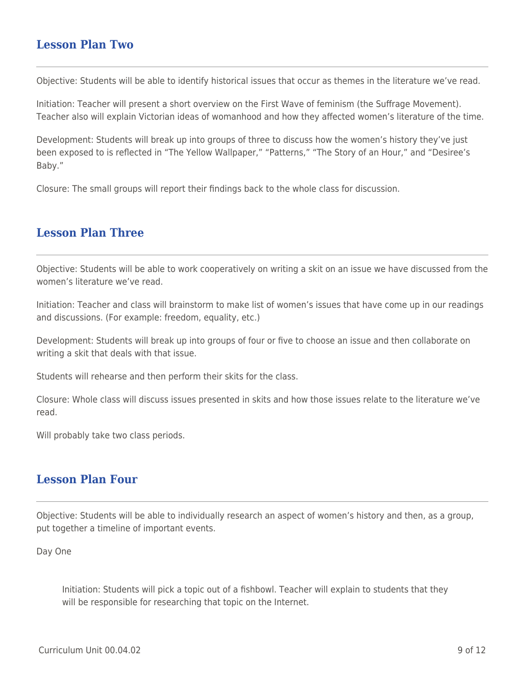## **Lesson Plan Two**

Objective: Students will be able to identify historical issues that occur as themes in the literature we've read.

Initiation: Teacher will present a short overview on the First Wave of feminism (the Suffrage Movement). Teacher also will explain Victorian ideas of womanhood and how they affected women's literature of the time.

Development: Students will break up into groups of three to discuss how the women's history they've just been exposed to is reflected in "The Yellow Wallpaper," "Patterns," "The Story of an Hour," and "Desiree's Baby."

Closure: The small groups will report their findings back to the whole class for discussion.

## **Lesson Plan Three**

Objective: Students will be able to work cooperatively on writing a skit on an issue we have discussed from the women's literature we've read.

Initiation: Teacher and class will brainstorm to make list of women's issues that have come up in our readings and discussions. (For example: freedom, equality, etc.)

Development: Students will break up into groups of four or five to choose an issue and then collaborate on writing a skit that deals with that issue.

Students will rehearse and then perform their skits for the class.

Closure: Whole class will discuss issues presented in skits and how those issues relate to the literature we've read.

Will probably take two class periods.

## **Lesson Plan Four**

Objective: Students will be able to individually research an aspect of women's history and then, as a group, put together a timeline of important events.

Day One

Initiation: Students will pick a topic out of a fishbowl. Teacher will explain to students that they will be responsible for researching that topic on the Internet.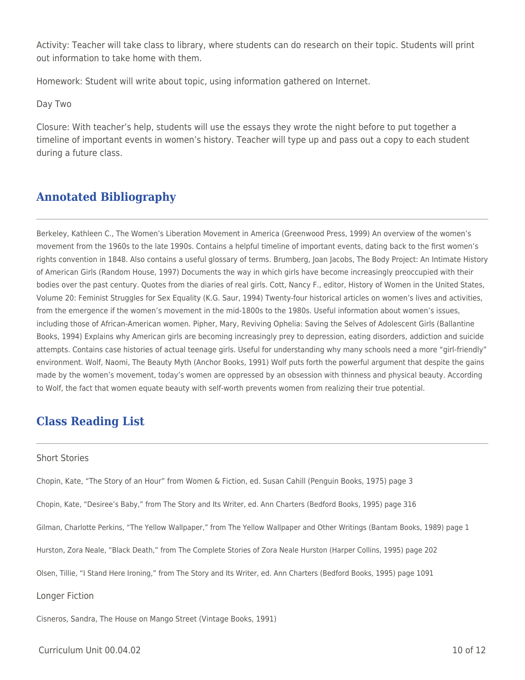Activity: Teacher will take class to library, where students can do research on their topic. Students will print out information to take home with them.

Homework: Student will write about topic, using information gathered on Internet.

Day Two

Closure: With teacher's help, students will use the essays they wrote the night before to put together a timeline of important events in women's history. Teacher will type up and pass out a copy to each student during a future class.

# **Annotated Bibliography**

Berkeley, Kathleen C., The Women's Liberation Movement in America (Greenwood Press, 1999) An overview of the women's movement from the 1960s to the late 1990s. Contains a helpful timeline of important events, dating back to the first women's rights convention in 1848. Also contains a useful glossary of terms. Brumberg, Joan Jacobs, The Body Project: An Intimate History of American Girls (Random House, 1997) Documents the way in which girls have become increasingly preoccupied with their bodies over the past century. Quotes from the diaries of real girls. Cott, Nancy F., editor, History of Women in the United States, Volume 20: Feminist Struggles for Sex Equality (K.G. Saur, 1994) Twenty-four historical articles on women's lives and activities, from the emergence if the women's movement in the mid-1800s to the 1980s. Useful information about women's issues, including those of African-American women. Pipher, Mary, Reviving Ophelia: Saving the Selves of Adolescent Girls (Ballantine Books, 1994) Explains why American girls are becoming increasingly prey to depression, eating disorders, addiction and suicide attempts. Contains case histories of actual teenage girls. Useful for understanding why many schools need a more "girl-friendly" environment. Wolf, Naomi, The Beauty Myth (Anchor Books, 1991) Wolf puts forth the powerful argument that despite the gains made by the women's movement, today's women are oppressed by an obsession with thinness and physical beauty. According to Wolf, the fact that women equate beauty with self-worth prevents women from realizing their true potential.

# **Class Reading List**

#### Short Stories

Chopin, Kate, "The Story of an Hour" from Women & Fiction, ed. Susan Cahill (Penguin Books, 1975) page 3

Chopin, Kate, "Desiree's Baby," from The Story and Its Writer, ed. Ann Charters (Bedford Books, 1995) page 316

Gilman, Charlotte Perkins, "The Yellow Wallpaper," from The Yellow Wallpaper and Other Writings (Bantam Books, 1989) page 1

Hurston, Zora Neale, "Black Death," from The Complete Stories of Zora Neale Hurston (Harper Collins, 1995) page 202

Olsen, Tillie, "I Stand Here Ironing," from The Story and Its Writer, ed. Ann Charters (Bedford Books, 1995) page 1091

Longer Fiction

Cisneros, Sandra, The House on Mango Street (Vintage Books, 1991)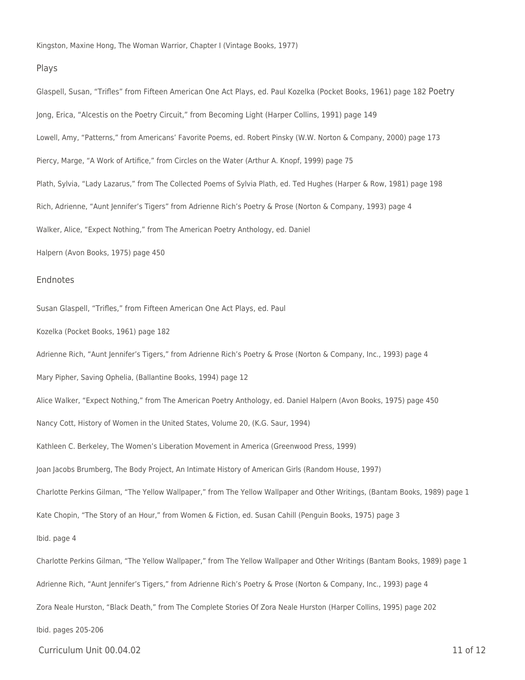Kingston, Maxine Hong, The Woman Warrior, Chapter I (Vintage Books, 1977)

#### Plays

Glaspell, Susan, "Trifles" from Fifteen American One Act Plays, ed. Paul Kozelka (Pocket Books, 1961) page 182 Poetry Jong, Erica, "Alcestis on the Poetry Circuit," from Becoming Light (Harper Collins, 1991) page 149 Lowell, Amy, "Patterns," from Americans' Favorite Poems, ed. Robert Pinsky (W.W. Norton & Company, 2000) page 173 Piercy, Marge, "A Work of Artifice," from Circles on the Water (Arthur A. Knopf, 1999) page 75 Plath, Sylvia, "Lady Lazarus," from The Collected Poems of Sylvia Plath, ed. Ted Hughes (Harper & Row, 1981) page 198 Rich, Adrienne, "Aunt Jennifer's Tigers" from Adrienne Rich's Poetry & Prose (Norton & Company, 1993) page 4 Walker, Alice, "Expect Nothing," from The American Poetry Anthology, ed. Daniel Halpern (Avon Books, 1975) page 450

#### **Endnotes**

Susan Glaspell, "Trifles," from Fifteen American One Act Plays, ed. Paul

Kozelka (Pocket Books, 1961) page 182

Adrienne Rich, "Aunt Jennifer's Tigers," from Adrienne Rich's Poetry & Prose (Norton & Company, Inc., 1993) page 4

Mary Pipher, Saving Ophelia, (Ballantine Books, 1994) page 12

Alice Walker, "Expect Nothing," from The American Poetry Anthology, ed. Daniel Halpern (Avon Books, 1975) page 450

Nancy Cott, History of Women in the United States, Volume 20, (K.G. Saur, 1994)

Kathleen C. Berkeley, The Women's Liberation Movement in America (Greenwood Press, 1999)

Joan Jacobs Brumberg, The Body Project, An Intimate History of American Girls (Random House, 1997)

Charlotte Perkins Gilman, "The Yellow Wallpaper," from The Yellow Wallpaper and Other Writings, (Bantam Books, 1989) page 1

Kate Chopin, "The Story of an Hour," from Women & Fiction, ed. Susan Cahill (Penguin Books, 1975) page 3

Ibid. page 4

Charlotte Perkins Gilman, "The Yellow Wallpaper," from The Yellow Wallpaper and Other Writings (Bantam Books, 1989) page 1 Adrienne Rich, "Aunt Jennifer's Tigers," from Adrienne Rich's Poetry & Prose (Norton & Company, Inc., 1993) page 4 Zora Neale Hurston, "Black Death," from The Complete Stories Of Zora Neale Hurston (Harper Collins, 1995) page 202 Ibid. pages 205-206

Curriculum Unit 00.04.02 11 of 12